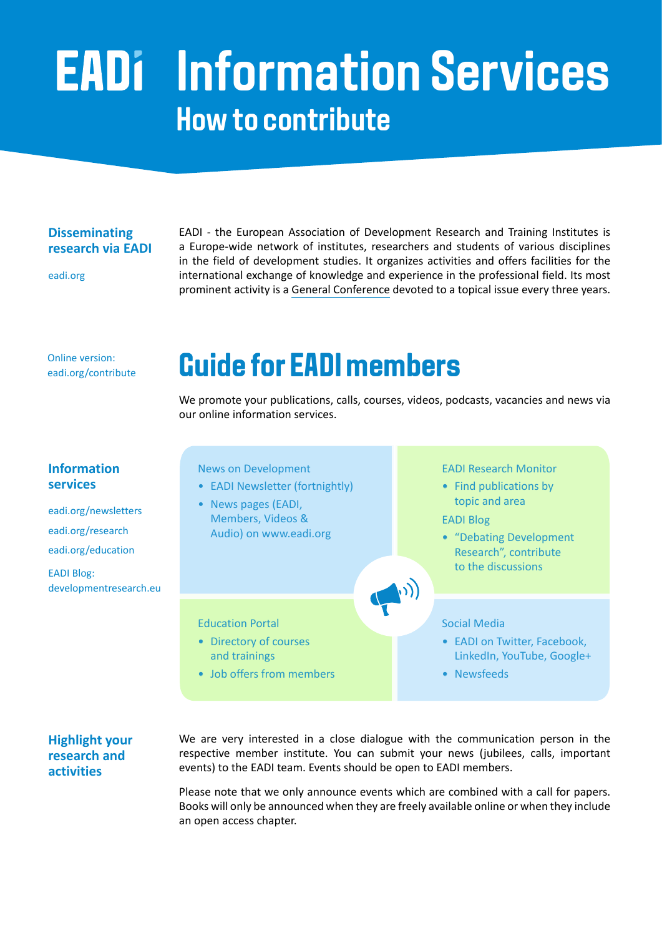# **Information Services How to contribute**

#### **Disseminating research via EADI**

[eadi.org](https://www.eadi.org)

EADI - the European Association of Development Research and Training Institutes is a Europe-wide network of institutes, researchers and students of various disciplines in the field of development studies. It organizes activities and offers facilities for the international exchange of knowledge and experience in the professional field. Its most prominent activity is a [General Conference](https://www.eadi.org/gc/) devoted to a topical issue every three years.

Online version: [eadi.org/contribute](https://www.eadi.org/contribute/)

## **Guide for EADI members**

We promote your publications, calls, courses, videos, podcasts, vacancies and news via our online information services.

### **Information services**

[eadi.org/newsletters](https://www.eadi.org/newsletters/) [eadi.org/research](https://www.eadi.org/publications/) [eadi.org/education](https://www.eadi.org/education/) EADI Blog:



### **Highlight your research and activities**

We are very interested in a close dialogue with the communication person in the respective member institute. You can submit your news (jubilees, calls, important events) to the EADI team. Events should be open to EADI members.

Please note that we only announce events which are combined with a call for papers. Books will only be announced when they are freely available online or when they include an open access chapter.